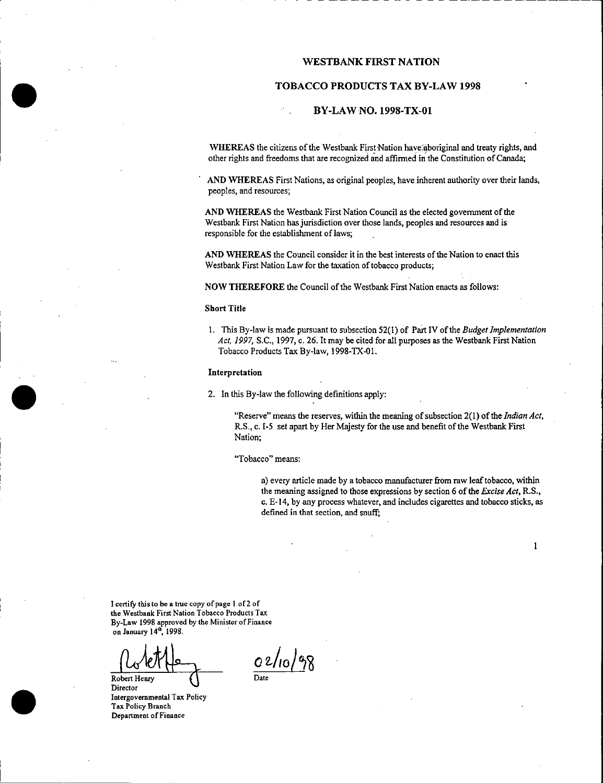### WESTBANK FIRST NATION

### TOBACCO PRODUCTS TAX BY-LAW 1998

### BY-LAW NO. 1998-TX-01

WHEREAS the citizens of the Westbank First Nation have aboriginal and treaty rights, and other rights and freedoms that are recognized and affirmed inthe Constitution of Canada;

AND WHEREAS First Nations, as original peoples, have inherent authority over their lands, peoples, and resources;

AND WHEREAS the Westbank First Nation Council as the elected government of the Westbank First Nation has jurisdiction over those lands, peoples and resources and is responsible for the establishment of laws;

AND WHEREAS the Council consider it in the best interests of the Nation to enact this Westbank First Nation Law for the taxation of tobacco products;

NOW THEREFORE the Council of the Westbank First Nation enacts as follows:

#### Short Title

1. This By -law is made pursuant to subsection 52( 1) of Part IV of the Budget Implementation Act, 1997, S.C., 1997, c. 26. It may be cited for all purposes as the Westbank First Nation Tobacco Products Tax By-law, 1998-TX-01.

#### Interpretation

2. In this By -law the following definitions apply:

"Reserve" means the reserves, within the meaning of subsection  $2(1)$  of the *Indian Act*, R.S., c. I-5 set apart by Her Majesty for the use and benefit of the Westbank First Nation;

Tobacco" means:

a) every article made by a tobacco manufacturer from raw leaftobacco, within the meaning assigned to those expressions by section 6 of the *Excise Act*, R.S., c. E -14, by any process whatever, and includes cigarettes and tobacco sticks, as defined in that section, and snuff;

I certify this to be a true copy of page <sup>I</sup> of <sup>2</sup> of the Westbank First Nation Tobacco Products Tax By -Law 1998 approved by the Minister of Finance on January 14<sup>th</sup>, 1998.

Robert Henry

Director Intergovernmental Tax Policy Tax Policy Branch Department of Finance

 $02/10/98$ 

1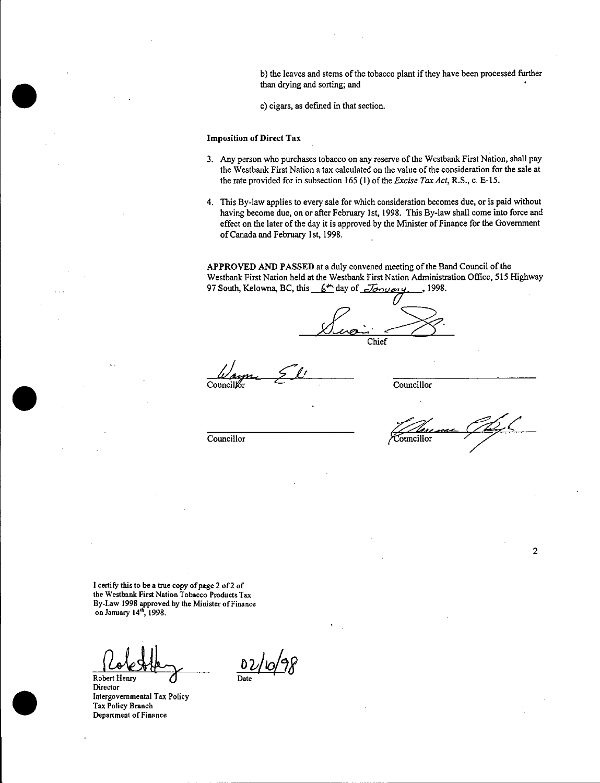b) the leaves and stems of the tobacco plant if they have been processed further than drying and sorting; and

c) cigars, as defined in that section.

#### Imposition of Direct Tax

- 3. Any person who purchases tobacco on any reserve of the Westbank First Nation, shall pay the Westbank First Nation <sup>a</sup> tax calculated on the value ofthe consideration for the sale at the rate provided for in subsection 165 (1) of the Excise Tax Act, R.S., c. E-15.
- 4. This By -law applies to every sale for which consideration becomes due, or is paid without having become due, on or after February 1st, 1998. This By-law shall come into force and effect on the later of the day it is approved by the Minister of Finance for the Government of Canada and February 1st, 1998.

APPROVED AND PASSED at a duly convened meeting of the Band Council of the Westbank First Nation held at the Westbank First Nation Administration Office, 515 Highway<br>97 South, Kelowna, BC, this  $6^+$  day of  $\overline{J}$ 97 South, Kelowna, BC, this  $6<sup>th</sup>$  day of  $\overline{J}$ 

Chief

Councillor Councillor

Councillor Councillor

<sup>1</sup> certify this to be <sup>a</sup> true copy of page <sup>2</sup> of2 of the Westbank First Nation Tobacco Products Tax By -Law 1998 approved by the Minister of Finance on January 14<sup>th</sup>, 1998.

Robert Henry

Director Intergovernmental Tax Policy Tax Policy Branch Department of Finance

02/10/98

2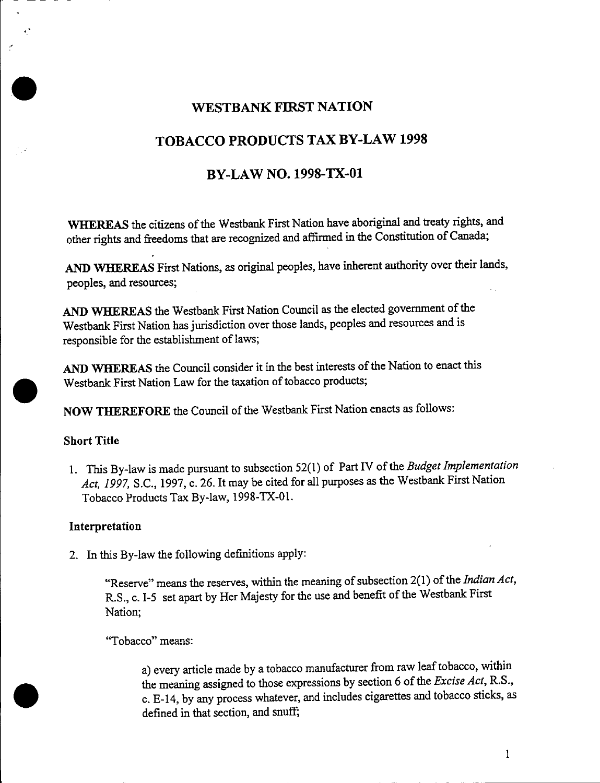## WESTBANK FIRST NATION

# TOBACCO PRODUCTS TAX BY -LAW 1998

## BY -LAW NO. 1998-TX-01

WHEREAS the citizens of the Westbank First Nation have aboriginal and treaty rights, and other rights and freedoms that are recognized and affirmed in the Constitution of Canada;

AND WHEREAS First Nations, as original peoples, have inherent authority over their lands, peoples, and resources;

AND WHEREAS the Westbank First Nation Council as the elected government of the Westbank First Nation has jurisdiction over those lands, peoples and resources and is responsible for the establishment of laws;

AND WHEREAS the Council consider it in the best interests of the Nation to enact this Westbank First Nation Law for the taxation of tobacco products;

NOW THEREFORE the Council of the Westbank First Nation enacts as follows:

## Short Title

1. This By-law is made pursuant to subsection 52(1) of Part IV of the Budget Implementation Act, 1997, S.C., 1997, c. 26. It may be cited for all purposes as the Westbank First Nation Tobacco Products Tax By-law, 1998-TX-01.

## Interpretation

2. In this By -law the following definitions apply:

"Reserve" means the reserves, within the meaning of subsection 2(1) of the Indian Act, R.S., c. I-5 set apart by Her Majesty for the use and benefit of the Westbank First Nation;

Tobacco" means:

a) every article made by a tobacco manufacturer from raw leaf tobacco, within the meaning assigned to those expressions by section 6 of the Excise Act, R.S., c. E -14, by any process whatever, and includes cigarettes and tobacco sticks, as defined in that section, and snuff;